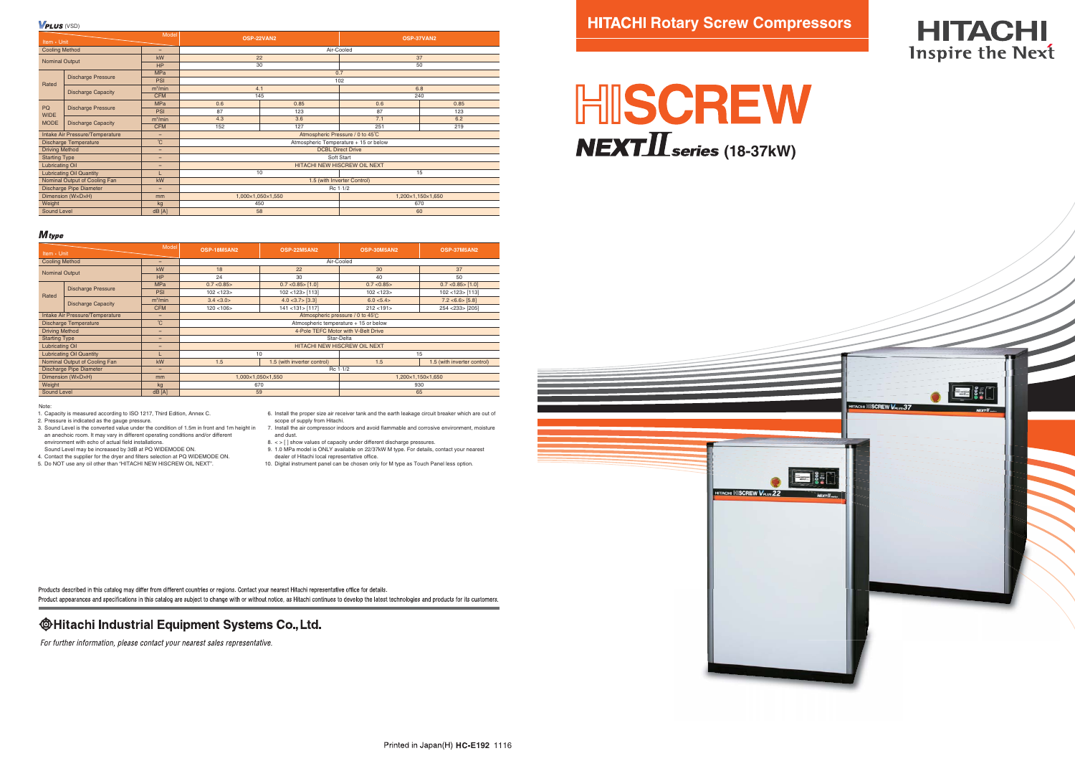3. Sound Level is the converted value under the condition of 1.5m in front and 1m height in an anechoic room. It may vary in different operating conditions and/or different environment with echo of actual field installations.

- Sound Level may be increased by 3dB at PQ WIDEMODE ON.
- 4. Contact the supplier for the dryer and filters selection at PQ WIDEMODE ON.
- 5. Do NOT use any oil other than "HITACHI NEW HISCREW OIL NEXT".
- 6. Install the proper size air receiver tank and the earth leakage circuit breaker which are out of scope of supply from Hitachi.
- 7. Install the air compressor indoors and avoid flammable and corrosive environment, moisture and dust.
- 8. < > [ ] show values of capacity under different discharge pressures. 9. 1.0 MPa model is ONLY available on 22/37kW M type. For details, contact your nearest
- dealer of Hitachi local representative office.
- 10. Digital instrument panel can be chosen only for M type as Touch Panel less option.

Products described in this catalog may differ from different countries or regions. Contact your nearest Hitachi representative office for details. Product appearances and specifications in this catalog are subject to change with or without notice, as Hitachi continues to develop the latest technologies and products for its customers,

## **@Hitachi Industrial Equipment Systems Co., Ltd.**

For further information, please contact your nearest sales representative.



# **HITACHI** Inspire the Next



 $V$ PLUS (VSD)

| Model<br>Item • Unit             |                           |                          | OSP-22VAN2                            |      | OSP-37VAN2        |      |  |
|----------------------------------|---------------------------|--------------------------|---------------------------------------|------|-------------------|------|--|
| <b>Cooling Method</b><br>-       |                           | Air-Cooled               |                                       |      |                   |      |  |
|                                  |                           | kW                       | 22                                    |      | 37                |      |  |
| <b>Nominal Output</b>            |                           | <b>HP</b>                | 30                                    |      | 50                |      |  |
| Rated                            | <b>Discharge Pressure</b> | <b>MPa</b>               | 0.7                                   |      |                   |      |  |
|                                  |                           | PSI                      | 102                                   |      |                   |      |  |
|                                  | <b>Discharge Capacity</b> | $m^3/m$ in               | 4.1                                   |      | 6.8               |      |  |
|                                  |                           | <b>CFM</b>               | 145                                   |      | 240               |      |  |
| PQ<br><b>WIDE</b><br><b>MODE</b> | <b>Discharge Pressure</b> | <b>MPa</b>               | 0.6                                   | 0.85 | 0.6               | 0.85 |  |
|                                  |                           | PSI                      | 87                                    | 123  | 87                | 123  |  |
|                                  | <b>Discharge Capacity</b> | $m^3/m$ in               | 4.3                                   | 3.6  | 7.1               | 6.2  |  |
|                                  |                           | <b>CFM</b>               | 152                                   | 127  | 251               | 219  |  |
| Intake Air Pressure/Temperature  |                           | $\overline{\phantom{0}}$ | Atmospheric Pressure / 0 to 45°C      |      |                   |      |  |
| <b>Discharge Temperature</b>     |                           | $^{\circ}$ C             | Atmospheric Temperature + 15 or below |      |                   |      |  |
| <b>Driving Method</b>            |                           | -                        | <b>DCBL Direct Drive</b>              |      |                   |      |  |
| <b>Starting Type</b>             |                           | -                        | Soft Start                            |      |                   |      |  |
| <b>Lubricating Oil</b>           |                           | -                        | HITACHI NEW HISCREW OIL NEXT          |      |                   |      |  |
| <b>Lubricating Oil Quantity</b>  |                           |                          | 10                                    |      | 15                |      |  |
| Nominal Output of Cooling Fan    |                           | kW                       | 1.5 (with Inverter Control)           |      |                   |      |  |
| Discharge Pipe Diameter          |                           | -                        | Rc 1.1/2                              |      |                   |      |  |
| Dimension (WxDxH)                |                           | mm                       | 1,000×1,050×1,550                     |      | 1,200×1,150×1,650 |      |  |
| Weight                           |                           | kg                       | 450                                   |      | 670               |      |  |
| Sound Level                      |                           | dB[A]                    | 58                                    |      | 60                |      |  |

## **HITACHI Rotary Screw Compressors**

# HISCREW  $NEXT\coprod$ **series** (18-37kW)

**HITACHI MISCREW Verus 22** 

#### **M**type

| Model<br>Item • Unit            |                           |                     | <b>OSP-18M5AN2</b>                     | <b>OSP-22M5AN2</b>          | OSP-30M5AN2       | <b>OSP-37M5AN2</b>          |  |
|---------------------------------|---------------------------|---------------------|----------------------------------------|-----------------------------|-------------------|-----------------------------|--|
| <b>Cooling Method</b>           |                           | -                   | Air-Cooled                             |                             |                   |                             |  |
| <b>Nominal Output</b>           |                           | kW                  | 18                                     | 22                          | 30                | 37                          |  |
|                                 |                           | <b>HP</b>           | 24                                     | 30                          | 40                | 50                          |  |
|                                 | <b>Discharge Pressure</b> | <b>MPa</b>          | 0.7 < 0.85                             | 0.7 < 0.85 > [1.0]          | 0.7 < 0.85        | 0.7 < 0.85 > [1.0]          |  |
| Rated                           |                           | PSI                 | 102 < 123                              | 102 < 123 > [113]           | 102 < 123         | 102 < 123 > [113]           |  |
|                                 | <b>Discharge Capacity</b> | m <sup>3</sup> /min | 3.4 < 3.0 >                            | 4.0 < 3.7 > [3.3]           | 6.0 < 5.4         | 7.2 < 6.6 > [5.8]           |  |
|                                 |                           | <b>CFM</b>          | 120 < 106                              | 141 < 131 > [117]           | 212 < 191         | 254 < 233 > [205]           |  |
| Intake Air Pressure/Temperature |                           | -                   | Atmospheric pressure / 0 to 45°C       |                             |                   |                             |  |
| <b>Discharge Temperature</b>    |                           | °C                  | Atmospheric temperature $+15$ or below |                             |                   |                             |  |
| <b>Driving Method</b>           |                           | -                   | 4-Pole TEFC Motor with V-Belt Drive    |                             |                   |                             |  |
| <b>Starting Type</b>            |                           | -                   | Star-Delta                             |                             |                   |                             |  |
| <b>Lubricating Oil</b>          |                           | -                   | <b>HITACHI NEW HISCREW OIL NEXT</b>    |                             |                   |                             |  |
| <b>Lubricating Oil Quantity</b> |                           |                     | 10                                     |                             | 15                |                             |  |
| Nominal Output of Cooling Fan   |                           | kW                  | 1.5                                    | 1.5 (with inverter control) | 1.5               | 1.5 (with inverter control) |  |
| <b>Discharge Pipe Diameter</b>  |                           | -                   | Rc 1.1/2                               |                             |                   |                             |  |
| Dimension (WxDxH)               |                           | mm                  | 1,000×1,050×1,550                      |                             | 1,200×1,150×1,650 |                             |  |
| Weight                          |                           | kg                  | 670                                    |                             | 930               |                             |  |
| Sound Level                     |                           | dB[A]               | 59                                     |                             | 65                |                             |  |

**Note** 

1. Capacity is measured according to ISO 1217, Third Edition, Annex C.

2. Pressure is indicated as the gauge pressure.